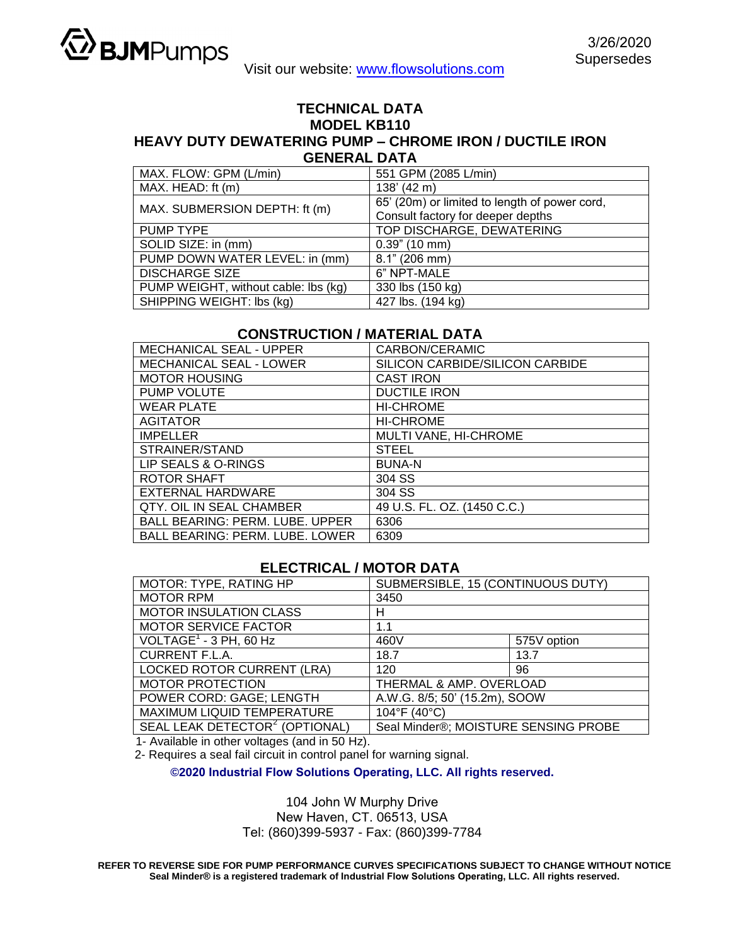

## **TECHNICAL DATA MODEL KB110 HEAVY DUTY DEWATERING PUMP – CHROME IRON / DUCTILE IRON GENERAL DATA**

| MAX. FLOW: GPM (L/min)               | 551 GPM (2085 L/min)                          |  |
|--------------------------------------|-----------------------------------------------|--|
| MAX. HEAD: ft (m)                    | 138' (42 m)                                   |  |
| MAX. SUBMERSION DEPTH: ft (m)        | 65' (20m) or limited to length of power cord, |  |
|                                      | Consult factory for deeper depths             |  |
| <b>PUMP TYPE</b>                     | TOP DISCHARGE, DEWATERING                     |  |
| SOLID SIZE: in (mm)                  | $0.39"$ (10 mm)                               |  |
| PUMP DOWN WATER LEVEL: in (mm)       | $8.1"$ (206 mm)                               |  |
| <b>DISCHARGE SIZE</b>                | 6" NPT-MALE                                   |  |
| PUMP WEIGHT, without cable: lbs (kg) | 330 lbs (150 kg)                              |  |
| SHIPPING WEIGHT: Ibs (kg)            | 427 lbs. (194 kg)                             |  |

## **CONSTRUCTION / MATERIAL DATA**

| MECHANICAL SEAL - UPPER                | <b>CARBON/CERAMIC</b>           |  |
|----------------------------------------|---------------------------------|--|
| <b>MECHANICAL SEAL - LOWER</b>         | SILICON CARBIDE/SILICON CARBIDE |  |
| <b>MOTOR HOUSING</b>                   | <b>CAST IRON</b>                |  |
| <b>PUMP VOLUTE</b>                     | <b>DUCTILE IRON</b>             |  |
| <b>WEAR PLATE</b>                      | <b>HI-CHROME</b>                |  |
| <b>AGITATOR</b>                        | <b>HI-CHROME</b>                |  |
| <b>IMPELLER</b>                        | MULTI VANE, HI-CHROME           |  |
| STRAINER/STAND                         | <b>STEEL</b>                    |  |
| LIP SEALS & O-RINGS                    | <b>BUNA-N</b>                   |  |
| ROTOR SHAFT                            | 304 SS                          |  |
| EXTERNAL HARDWARE                      | 304 SS                          |  |
| QTY. OIL IN SEAL CHAMBER               | 49 U.S. FL. OZ. (1450 C.C.)     |  |
| BALL BEARING: PERM. LUBE. UPPER        | 6306                            |  |
| <b>BALL BEARING: PERM. LUBE. LOWER</b> | 6309                            |  |

## **ELECTRICAL / MOTOR DATA**

| MOTOR: TYPE, RATING HP                     | SUBMERSIBLE, 15 (CONTINUOUS DUTY)    |             |  |
|--------------------------------------------|--------------------------------------|-------------|--|
| <b>MOTOR RPM</b>                           | 3450                                 |             |  |
| <b>MOTOR INSULATION CLASS</b>              | н                                    |             |  |
| MOTOR SERVICE FACTOR                       | 1.1                                  |             |  |
| VOLTAGE $^1$ - 3 PH, 60 Hz                 | 460V                                 | 575V option |  |
| <b>CURRENT F.L.A.</b>                      | 18.7                                 | 13.7        |  |
| <b>LOCKED ROTOR CURRENT (LRA)</b>          | 120                                  | 96          |  |
| <b>MOTOR PROTECTION</b>                    | THERMAL & AMP. OVERLOAD              |             |  |
| POWER CORD: GAGE; LENGTH                   | A.W.G. 8/5; 50' (15.2m), SOOW        |             |  |
| MAXIMUM LIQUID TEMPERATURE                 | 104°F (40°C)                         |             |  |
| SEAL LEAK DETECTOR <sup>2</sup> (OPTIONAL) | Seal Minder®; MOISTURE SENSING PROBE |             |  |

1- Available in other voltages (and in 50 Hz).

2- Requires a seal fail circuit in control panel for warning signal.

**©2020 Industrial Flow Solutions Operating, LLC. All rights reserved.** 

104 John W Murphy Drive New Haven, CT. 06513, USA Tel: (860)399-5937 - Fax: (860)399-7784